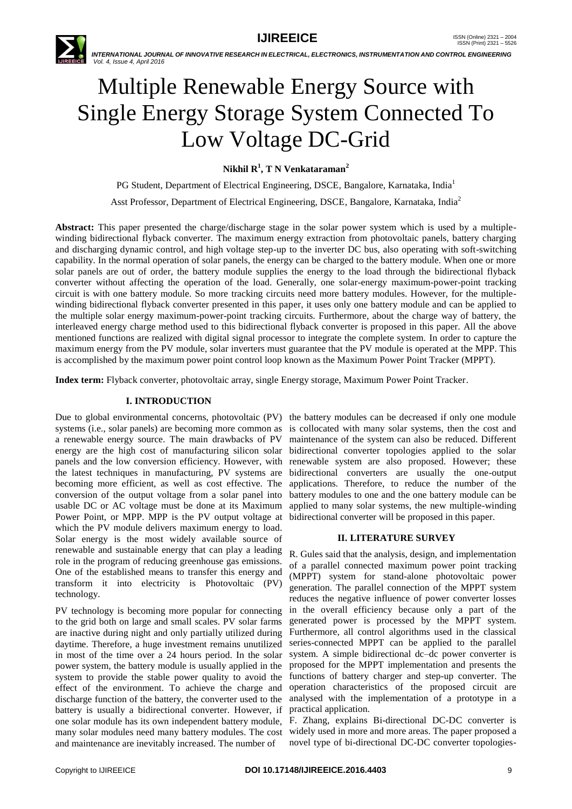

# Multiple Renewable Energy Source with Single Energy Storage System Connected To Low Voltage DC-Grid

**Nikhil R<sup>1</sup> , T N Venkataraman<sup>2</sup>**

PG Student, Department of Electrical Engineering, DSCE, Bangalore, Karnataka, India<sup>1</sup>

Asst Professor, Department of Electrical Engineering, DSCE, Bangalore, Karnataka, India<sup>2</sup>

**Abstract:** This paper presented the charge/discharge stage in the solar power system which is used by a multiplewinding bidirectional flyback converter. The maximum energy extraction from photovoltaic panels, battery charging and discharging dynamic control, and high voltage step-up to the inverter DC bus, also operating with soft-switching capability. In the normal operation of solar panels, the energy can be charged to the battery module. When one or more solar panels are out of order, the battery module supplies the energy to the load through the bidirectional flyback converter without affecting the operation of the load. Generally, one solar-energy maximum-power-point tracking circuit is with one battery module. So more tracking circuits need more battery modules. However, for the multiplewinding bidirectional flyback converter presented in this paper, it uses only one battery module and can be applied to the multiple solar energy maximum-power-point tracking circuits. Furthermore, about the charge way of battery, the interleaved energy charge method used to this bidirectional flyback converter is proposed in this paper. All the above mentioned functions are realized with digital signal processor to integrate the complete system. In order to capture the maximum energy from the PV module, solar inverters must guarantee that the PV module is operated at the MPP. This is accomplished by the maximum power point control loop known as the Maximum Power Point Tracker (MPPT).

**Index term:** Flyback converter, photovoltaic array, single Energy storage, Maximum Power Point Tracker.

## **I. INTRODUCTION**

Due to global environmental concerns, photovoltaic (PV) the battery modules can be decreased if only one module systems (i.e., solar panels) are becoming more common as is collocated with many solar systems, then the cost and a renewable energy source. The main drawbacks of PV energy are the high cost of manufacturing silicon solar panels and the low conversion efficiency. However, with the latest techniques in manufacturing, PV systems are becoming more efficient, as well as cost effective. The conversion of the output voltage from a solar panel into usable DC or AC voltage must be done at its Maximum Power Point, or MPP. MPP is the PV output voltage at which the PV module delivers maximum energy to load. Solar energy is the most widely available source of renewable and sustainable energy that can play a leading role in the program of reducing greenhouse gas emissions. One of the established means to transfer this energy and transform it into electricity is Photovoltaic (PV) technology.

PV technology is becoming more popular for connecting to the grid both on large and small scales. PV solar farms are inactive during night and only partially utilized during daytime. Therefore, a huge investment remains unutilized in most of the time over a 24 hours period. In the solar power system, the battery module is usually applied in the system to provide the stable power quality to avoid the effect of the environment. To achieve the charge and discharge function of the battery, the converter used to the battery is usually a bidirectional converter. However, if one solar module has its own independent battery module, many solar modules need many battery modules. The cost widely used in more and more areas. The paper proposed a and maintenance are inevitably increased. The number of

maintenance of the system can also be reduced. Different bidirectional converter topologies applied to the solar renewable system are also proposed. However; these bidirectional converters are usually the one-output applications. Therefore, to reduce the number of the battery modules to one and the one battery module can be applied to many solar systems, the new multiple-winding bidirectional converter will be proposed in this paper.

## **II. LITERATURE SURVEY**

R. Gules said that the analysis, design, and implementation of a parallel connected maximum power point tracking (MPPT) system for stand-alone photovoltaic power generation. The parallel connection of the MPPT system reduces the negative influence of power converter losses in the overall efficiency because only a part of the generated power is processed by the MPPT system. Furthermore, all control algorithms used in the classical series-connected MPPT can be applied to the parallel system. A simple bidirectional dc–dc power converter is proposed for the MPPT implementation and presents the functions of battery charger and step-up converter. The operation characteristics of the proposed circuit are analysed with the implementation of a prototype in a practical application.

F. Zhang, explains Bi-directional DC-DC converter is novel type of bi-directional DC-DC converter topologies-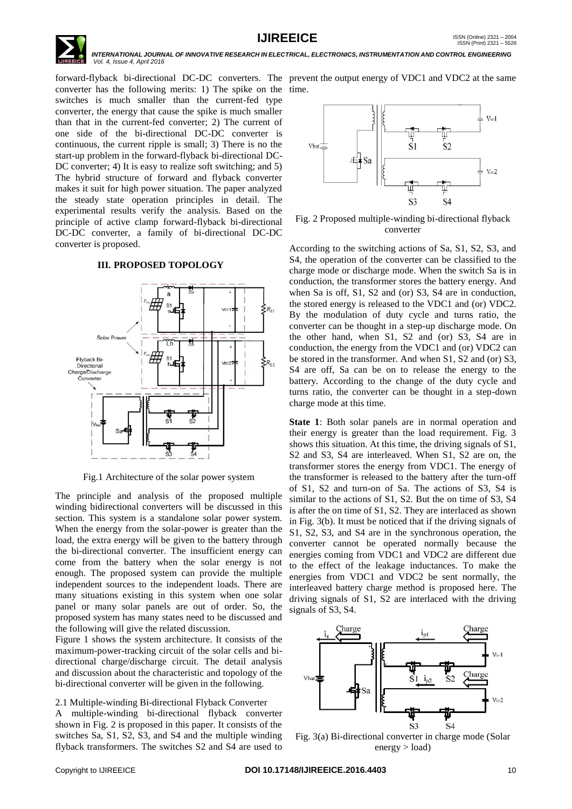

converter has the following merits: 1) The spike on the time. switches is much smaller than the current-fed type converter, the energy that cause the spike is much smaller than that in the current-fed converter; 2) The current of one side of the bi-directional DC-DC converter is continuous, the current ripple is small; 3) There is no the start-up problem in the forward-flyback bi-directional DC-DC converter; 4) It is easy to realize soft switching; and 5) The hybrid structure of forward and flyback converter makes it suit for high power situation. The paper analyzed the steady state operation principles in detail. The experimental results verify the analysis. Based on the principle of active clamp forward-flyback bi-directional DC-DC converter, a family of bi-directional DC-DC converter is proposed.

### **III. PROPOSED TOPOLOGY**



Fig.1 Architecture of the solar power system

The principle and analysis of the proposed multiple winding bidirectional converters will be discussed in this section. This system is a standalone solar power system. When the energy from the solar-power is greater than the load, the extra energy will be given to the battery through the bi-directional converter. The insufficient energy can come from the battery when the solar energy is not enough. The proposed system can provide the multiple independent sources to the independent loads. There are many situations existing in this system when one solar panel or many solar panels are out of order. So, the proposed system has many states need to be discussed and the following will give the related discussion.

Figure 1 shows the system architecture. It consists of the maximum-power-tracking circuit of the solar cells and bidirectional charge/discharge circuit. The detail analysis and discussion about the characteristic and topology of the bi-directional converter will be given in the following.

2.1 Multiple-winding Bi-directional Flyback Converter

A multiple-winding bi-directional flyback converter shown in Fig. 2 is proposed in this paper. It consists of the switches Sa, S1, S2, S3, and S4 and the multiple winding flyback transformers. The switches S2 and S4 are used to

forward-flyback bi-directional DC-DC converters. The prevent the output energy of VDC1 and VDC2 at the same



Fig. 2 Proposed multiple-winding bi-directional flyback converter

According to the switching actions of Sa, S1, S2, S3, and S4, the operation of the converter can be classified to the charge mode or discharge mode. When the switch Sa is in conduction, the transformer stores the battery energy. And when Sa is off, S1, S2 and (or) S3, S4 are in conduction, the stored energy is released to the VDC1 and (or) VDC2. By the modulation of duty cycle and turns ratio, the converter can be thought in a step-up discharge mode. On the other hand, when S1, S2 and (or) S3, S4 are in conduction, the energy from the VDC1 and (or) VDC2 can be stored in the transformer. And when S1, S2 and (or) S3, S4 are off, Sa can be on to release the energy to the battery. According to the change of the duty cycle and turns ratio, the converter can be thought in a step-down charge mode at this time.

**State 1**: Both solar panels are in normal operation and their energy is greater than the load requirement. Fig. 3 shows this situation. At this time, the driving signals of S1, S2 and S3, S4 are interleaved. When S1, S2 are on, the transformer stores the energy from VDC1. The energy of the transformer is released to the battery after the turn-off of S1, S2 and turn-on of Sa. The actions of S3, S4 is similar to the actions of S1, S2. But the on time of S3, S4 is after the on time of S1, S2. They are interlaced as shown in Fig. 3(b). It must be noticed that if the driving signals of S1, S2, S3, and S4 are in the synchronous operation, the converter cannot be operated normally because the energies coming from VDC1 and VDC2 are different due to the effect of the leakage inductances. To make the energies from VDC1 and VDC2 be sent normally, the interleaved battery charge method is proposed here. The driving signals of S1, S2 are interlaced with the driving signals of S3, S4.



Fig. 3(a) Bi-directional converter in charge mode (Solar energy > load)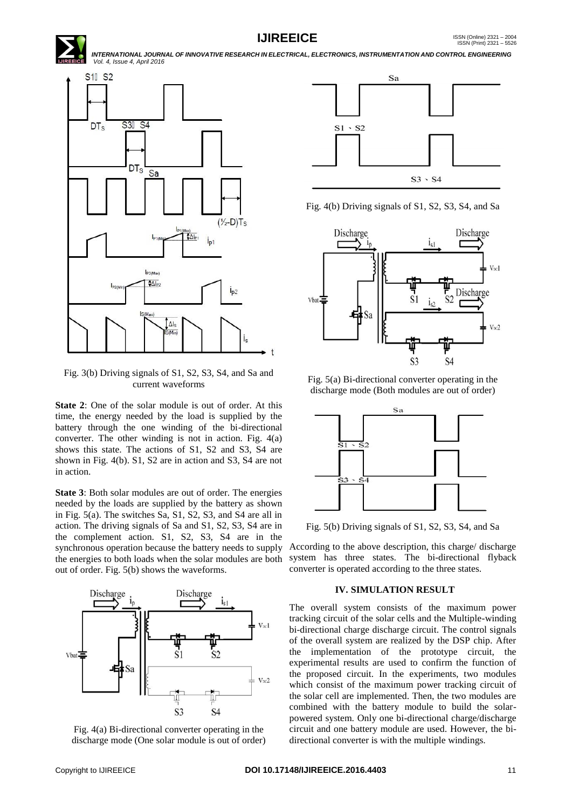



Fig. 3(b) Driving signals of S1, S2, S3, S4, and Sa and current waveforms

**State 2**: One of the solar module is out of order. At this time, the energy needed by the load is supplied by the battery through the one winding of the bi-directional converter. The other winding is not in action. Fig. 4(a) shows this state. The actions of S1, S2 and S3, S4 are shown in Fig. 4(b). S1, S2 are in action and S3, S4 are not in action.

**State 3**: Both solar modules are out of order. The energies needed by the loads are supplied by the battery as shown in Fig. 5(a). The switches Sa, S1, S2, S3, and S4 are all in action. The driving signals of Sa and S1, S2, S3, S4 are in the complement action. S1, S2, S3, S4 are in the synchronous operation because the battery needs to supply the energies to both loads when the solar modules are both out of order. Fig. 5(b) shows the waveforms.



Fig. 4(a) Bi-directional converter operating in the discharge mode (One solar module is out of order)



Fig. 4(b) Driving signals of S1, S2, S3, S4, and Sa



Fig. 5(a) Bi-directional converter operating in the discharge mode (Both modules are out of order)



Fig. 5(b) Driving signals of S1, S2, S3, S4, and Sa

According to the above description, this charge/ discharge system has three states. The bi-directional flyback converter is operated according to the three states.

### **IV. SIMULATION RESULT**

The overall system consists of the maximum power tracking circuit of the solar cells and the Multiple-winding bi-directional charge discharge circuit. The control signals of the overall system are realized by the DSP chip. After the implementation of the prototype circuit, the experimental results are used to confirm the function of the proposed circuit. In the experiments, two modules which consist of the maximum power tracking circuit of the solar cell are implemented. Then, the two modules are combined with the battery module to build the solarpowered system. Only one bi-directional charge/discharge circuit and one battery module are used. However, the bidirectional converter is with the multiple windings.